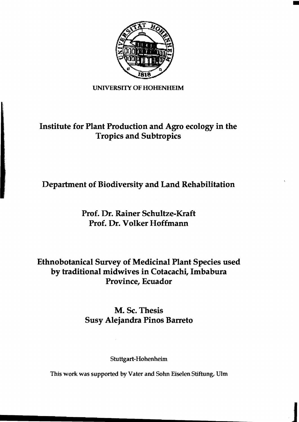

#### UNIVERSITY OF HOHENHEIM

## Institute for Plant Production and Agro ecology in the Tropics and Subtropics

# Department of Biodiversity and Land Rehabilitation

### Prof. Dr. Rainer Schultze-Kraft Prof. Dr. Volker Hoffmann

### Ethnobotanical Survey of Medicinal Plant Species used by traditional midwives in Cotacachi, Imbabura Province, Ecuador

## M. Sc. Thesis Susy Alejandra Pinos Barreto

#### Stuttgart-Hohenheim

This work was supported by Vater and Sohn Eiselen Stiftung, Ulm